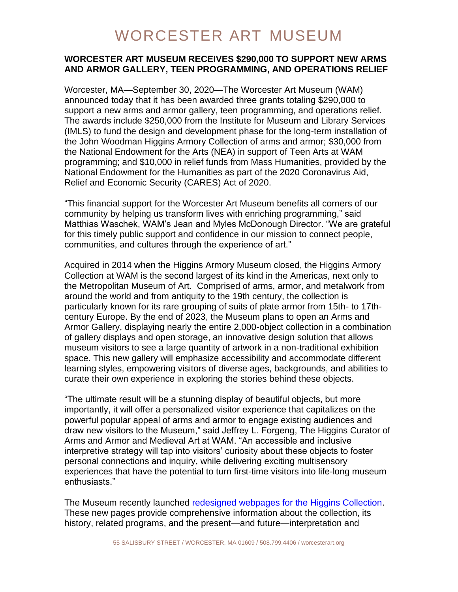# WORCESTER ART MUSEUM

### **WORCESTER ART MUSEUM RECEIVES \$290,000 TO SUPPORT NEW ARMS AND ARMOR GALLERY, TEEN PROGRAMMING, AND OPERATIONS RELIEF**

Worcester, MA—September 30, 2020—The Worcester Art Museum (WAM) announced today that it has been awarded three grants totaling \$290,000 to support a new arms and armor gallery, teen programming, and operations relief. The awards include \$250,000 from the Institute for Museum and Library Services (IMLS) to fund the design and development phase for the long-term installation of the John Woodman Higgins Armory Collection of arms and armor; \$30,000 from the National Endowment for the Arts (NEA) in support of Teen Arts at WAM programming; and \$10,000 in relief funds from Mass Humanities, provided by the National Endowment for the Humanities as part of the 2020 Coronavirus Aid, Relief and Economic Security (CARES) Act of 2020.

"This financial support for the Worcester Art Museum benefits all corners of our community by helping us transform lives with enriching programming," said Matthias Waschek, WAM's Jean and Myles McDonough Director. "We are grateful for this timely public support and confidence in our mission to connect people, communities, and cultures through the experience of art."

Acquired in 2014 when the Higgins Armory Museum closed, the Higgins Armory Collection at WAM is the second largest of its kind in the Americas, next only to the Metropolitan Museum of Art. Comprised of arms, armor, and metalwork from around the world and from antiquity to the 19th century, the collection is particularly known for its rare grouping of suits of plate armor from 15th- to 17thcentury Europe. By the end of 2023, the Museum plans to open an Arms and Armor Gallery, displaying nearly the entire 2,000-object collection in a combination of gallery displays and open storage, an innovative design solution that allows museum visitors to see a large quantity of artwork in a non-traditional exhibition space. This new gallery will emphasize accessibility and accommodate different learning styles, empowering visitors of diverse ages, backgrounds, and abilities to curate their own experience in exploring the stories behind these objects.

"The ultimate result will be a stunning display of beautiful objects, but more importantly, it will offer a personalized visitor experience that capitalizes on the powerful popular appeal of arms and armor to engage existing audiences and draw new visitors to the Museum," said Jeffrey L. Forgeng, The Higgins Curator of Arms and Armor and Medieval Art at WAM. "An accessible and inclusive interpretive strategy will tap into visitors' curiosity about these objects to foster personal connections and inquiry, while delivering exciting multisensory experiences that have the potential to turn first-time visitors into life-long museum enthusiasts."

The Museum recently launched [redesigned webpages for the Higgins Collection.](https://worcesterart.org/collection/higgins-collection/) These new pages provide comprehensive information about the collection, its history, related programs, and the present—and future—interpretation and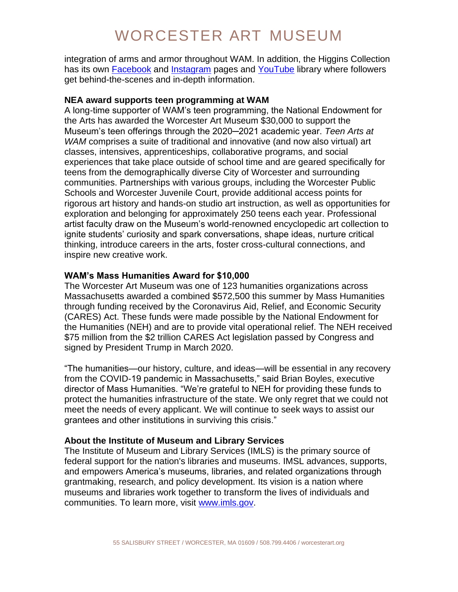# WORCESTER ART MUSEUM

integration of arms and armor throughout WAM. In addition, the Higgins Collection has its own **Facebook** and **Instagram** pages and [YouTube](https://www.youtube.com/playlist?list=PLj9UwqTtbQvMv_MjMHkc8hrRADPS4kx3_) library where followers get behind-the-scenes and in-depth information.

#### **NEA award supports teen programming at WAM**

A long-time supporter of WAM's teen programming, the National Endowment for the Arts has awarded the Worcester Art Museum \$30,000 to support the Museum's teen offerings through the 2020─2021 academic year. *Teen Arts at WAM* comprises a suite of traditional and innovative (and now also virtual) art classes, intensives, apprenticeships, collaborative programs, and social experiences that take place outside of school time and are geared specifically for teens from the demographically diverse City of Worcester and surrounding communities. Partnerships with various groups, including the Worcester Public Schools and Worcester Juvenile Court, provide additional access points for rigorous art history and hands-on studio art instruction, as well as opportunities for exploration and belonging for approximately 250 teens each year. Professional artist faculty draw on the Museum's world-renowned encyclopedic art collection to ignite students' curiosity and spark conversations, shape ideas, nurture critical thinking, introduce careers in the arts, foster cross-cultural connections, and inspire new creative work.

### **WAM's Mass Humanities Award for \$10,000**

The Worcester Art Museum was one of 123 humanities organizations across Massachusetts awarded a combined \$572,500 this summer by Mass Humanities through funding received by the Coronavirus Aid, Relief, and Economic Security (CARES) Act. These funds were made possible by the National Endowment for the Humanities (NEH) and are to provide vital operational relief. The NEH received \$75 million from the \$2 trillion CARES Act legislation passed by Congress and signed by President Trump in March 2020.

"The humanities—our history, culture, and ideas—will be essential in any recovery from the COVID-19 pandemic in Massachusetts," said Brian Boyles, executive director of Mass Humanities. "We're grateful to NEH for providing these funds to protect the humanities infrastructure of the state. We only regret that we could not meet the needs of every applicant. We will continue to seek ways to assist our grantees and other institutions in surviving this crisis."

#### **About the Institute of Museum and Library Services**

The Institute of Museum and Library Services (IMLS) is the primary source of federal support for the nation's libraries and museums. IMSL advances, supports, and empowers America's museums, libraries, and related organizations through grantmaking, research, and policy development. Its vision is a nation where museums and libraries work together to transform the lives of individuals and communities. To learn more, visit [www.imls.gov.](http://www.imls.gov/)